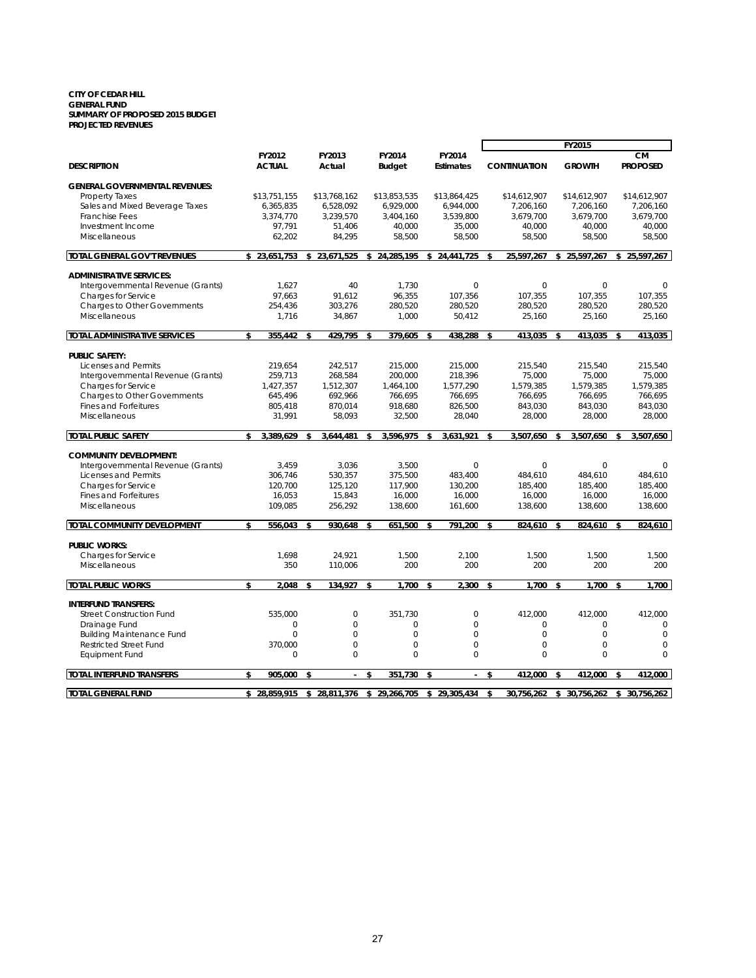#### **CITY OF CEDAR HILL GENERAL FUND SUMMARY OF PROPOSED 2015 BUDGET PROJECTED REVENUES**

|                                       |                         |                             |                         |                            |                    |                     | FY2015           |              |                              |
|---------------------------------------|-------------------------|-----------------------------|-------------------------|----------------------------|--------------------|---------------------|------------------|--------------|------------------------------|
| <b>DESCRIPTION</b>                    | FY2012<br><b>ACTUAL</b> | FY2013<br>Actual            | FY2014<br><b>Budget</b> | FY2014<br><b>Estimates</b> |                    | <b>CONTINUATION</b> | <b>GROWTH</b>    |              | <b>CM</b><br><b>PROPOSED</b> |
| <b>GENERAL GOVERNMENTAL REVENUES:</b> |                         |                             |                         |                            |                    |                     |                  |              |                              |
| <b>Property Taxes</b>                 | \$13,751,155            | \$13,768,162                | \$13,853,535            | \$13,864,425               |                    | \$14,612,907        | \$14,612,907     |              | \$14,612,907                 |
| Sales and Mixed Beverage Taxes        | 6,365,835               | 6,528,092                   | 6,929,000               | 6,944,000                  |                    | 7.206.160           | 7,206,160        |              | 7.206.160                    |
| <b>Franchise Fees</b>                 | 3,374,770               | 3,239,570                   | 3,404,160               | 3,539,800                  |                    | 3,679,700           | 3,679,700        |              | 3,679,700                    |
| Investment Income                     | 97,791                  | 51,406                      | 40,000                  | 35,000                     |                    | 40,000              | 40,000           |              | 40,000                       |
| Miscellaneous                         | 62,202                  | 84,295                      | 58,500                  | 58.500                     |                    | 58.500              | 58,500           |              | 58,500                       |
| <b>TOTAL GENERAL GOV'T REVENUES</b>   | \$23,651,753            | \$23,671,525                | \$<br>24,285,195        | \$24,441,725               | \$                 | 25,597,267          | \$<br>25,597,267 |              | \$25,597,267                 |
|                                       |                         |                             |                         |                            |                    |                     |                  |              |                              |
| <b>ADMINISTRATIVE SERVICES:</b>       |                         |                             |                         |                            |                    |                     |                  |              |                              |
| Intergovernmental Revenue (Grants)    | 1.627                   | 40                          | 1.730                   | $\Omega$                   |                    | $\circ$             | $\Omega$         |              | $\Omega$                     |
| Charges for Service                   | 97,663                  | 91,612                      | 96,355                  | 107,356                    |                    | 107,355             | 107,355          |              | 107,355                      |
| Charges to Other Governments          | 254,436                 | 303,276                     | 280,520                 | 280,520                    |                    | 280,520             | 280,520          |              | 280,520                      |
| Miscellaneous                         | 1,716                   | 34,867                      | 1,000                   | 50,412                     |                    | 25,160              | 25,160           |              | 25,160                       |
| <b>TOTAL ADMINISTRATIVE SERVICES</b>  | \$<br>355,442           | \$<br>429.795               | \$<br>379,605           | \$<br>438,288              | \$                 | 413,035             | \$<br>413,035    | \$           | 413,035                      |
|                                       |                         |                             |                         |                            |                    |                     |                  |              |                              |
| <b>PUBLIC SAFETY:</b>                 |                         |                             |                         |                            |                    |                     |                  |              |                              |
| Licenses and Permits                  | 219,654                 | 242,517                     | 215,000                 | 215,000                    |                    | 215,540             | 215,540          |              | 215,540                      |
| Intergovernmental Revenue (Grants)    | 259,713                 | 268,584                     | 200,000                 | 218,396                    |                    | 75,000              | 75,000           |              | 75,000                       |
| Charges for Service                   | 1,427,357               | 1,512,307                   | 1,464,100               | 1,577,290                  |                    | 1,579,385           | 1,579,385        |              | 1.579.385                    |
| Charges to Other Governments          | 645,496                 | 692,966                     | 766,695                 | 766,695                    |                    | 766,695             | 766,695          |              | 766,695                      |
| <b>Fines and Forfeitures</b>          | 805,418                 | 870,014                     | 918,680                 | 826,500                    |                    | 843,030             | 843,030          |              | 843,030                      |
| Miscellaneous                         | 31,991                  | 58,093                      | 32,500                  | 28,040                     |                    | 28,000              | 28,000           |              | 28,000                       |
| <b>TOTAL PUBLIC SAFETY</b>            | \$<br>3.389.629         | \$<br>3.644.481             | \$<br>3.596.975         | \$<br>3.631.921            | $\mathbf{\hat{s}}$ | 3.507.650           | \$<br>3.507.650  | $\mathbf{s}$ | 3.507.650                    |
| <b>COMMUNITY DEVELOPMENT:</b>         |                         |                             |                         |                            |                    |                     |                  |              |                              |
| Intergovernmental Revenue (Grants)    | 3.459                   | 3,036                       | 3,500                   | $\mathbf{0}$               |                    | $\mathbf 0$         | $\Omega$         |              | $\Omega$                     |
| Licenses and Permits                  | 306.746                 | 530.357                     | 375,500                 | 483.400                    |                    | 484.610             | 484.610          |              | 484.610                      |
| Charges for Service                   | 120.700                 | 125,120                     | 117,900                 | 130,200                    |                    | 185,400             | 185,400          |              | 185,400                      |
| <b>Fines and Forfeitures</b>          | 16,053                  | 15,843                      | 16,000                  | 16,000                     |                    | 16,000              | 16,000           |              | 16,000                       |
| Miscellaneous                         | 109,085                 | 256,292                     | 138,600                 | 161,600                    |                    | 138,600             | 138,600          |              | 138,600                      |
| TOTAL COMMUNITY DEVELOPMENT           | \$<br>556.043           | \$<br>930.648               | \$<br>651,500           | \$<br>791.200              | Ŝ.                 | 824.610             | \$<br>824.610    | $\mathbf{s}$ | 824.610                      |
|                                       |                         |                             |                         |                            |                    |                     |                  |              |                              |
| <b>PUBLIC WORKS:</b>                  |                         |                             |                         |                            |                    |                     |                  |              |                              |
| Charges for Service                   | 1,698                   | 24,921                      | 1,500                   | 2,100                      |                    | 1,500               | 1,500            |              | 1,500                        |
| Miscellaneous                         | 350                     | 110,006                     | 200                     | 200                        |                    | 200                 | 200              |              | 200                          |
| <b>TOTAL PUBLIC WORKS</b>             | \$<br>2,048             | \$<br>134.927               | \$<br>1,700             | \$<br>2,300                | \$                 | 1,700               | \$<br>1,700      | \$           | 1.700                        |
|                                       |                         |                             |                         |                            |                    |                     |                  |              |                              |
| <b>INTERFUND TRANSFERS:</b>           |                         |                             |                         |                            |                    |                     |                  |              |                              |
| <b>Street Construction Fund</b>       | 535,000                 | $\mathbf 0$                 | 351,730                 | $\mathbf{0}$               |                    | 412,000             | 412,000          |              | 412,000                      |
| Drainage Fund                         | 0                       | $\Omega$                    | $\mathbf 0$             | $\Omega$                   |                    | $\mathbf{O}$        | $\Omega$         |              | 0                            |
| <b>Building Maintenance Fund</b>      | $\Omega$                | $\Omega$                    | $\Omega$                | $\Omega$                   |                    | $\Omega$            | $\Omega$         |              | $\Omega$                     |
| <b>Restricted Street Fund</b>         | 370.000                 | $\Omega$                    | $\mathbf 0$             | $\Omega$                   |                    | $\Omega$            | $\Omega$         |              | $\Omega$                     |
| <b>Equipment Fund</b>                 | $\Omega$                | $\Omega$                    | $\mathbf 0$             | 0                          |                    | $\mathbf{O}$        | $\Omega$         |              | $\circ$                      |
| <b>TOTAL INTERFUND TRANSFERS</b>      | \$<br>905,000           | \$<br>$\blacksquare$        | \$<br>351,730           | \$<br>$\mathbf{r}$         | \$                 | 412,000             | \$<br>412,000    | \$           | 412.000                      |
| <b>TOTAL GENERAL FUND</b>             | \$28,859,915            | \$ 28,811,376 \$ 29,266,705 |                         | \$29,305,434               | \$                 | 30,756,262          | \$30,756,262     | \$           | 30,756,262                   |
|                                       |                         |                             |                         |                            |                    |                     |                  |              |                              |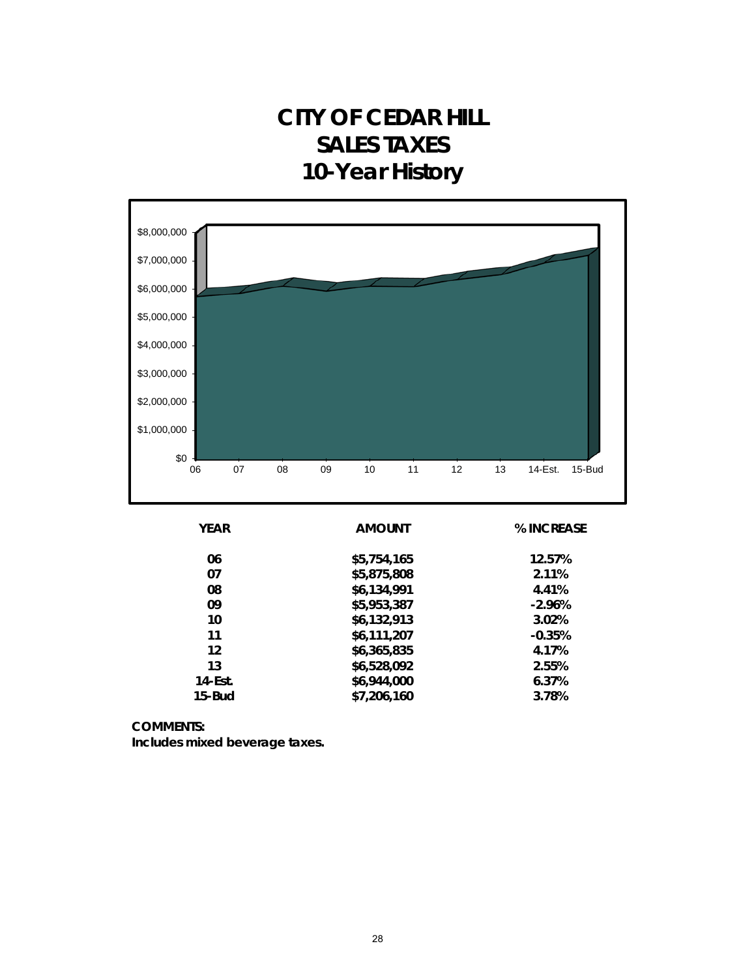### **CITY OF CEDAR HILL SALES TAXES 10-Year History**



| <b>YEAR</b> | <b>AMOUNT</b> | % INCREASE |
|-------------|---------------|------------|
| 06          | \$5,754,165   | 12.57%     |
| 07          | \$5,875,808   | 2.11%      |
| 08          | \$6,134,991   | 4.41%      |
| 09          | \$5,953,387   | $-2.96%$   |
| 10          | \$6,132,913   | 3.02%      |
| 11          | \$6,111,207   | $-0.35%$   |
| 12          | \$6,365,835   | 4.17%      |
| 13          | \$6,528,092   | 2.55%      |
| $14$ -Est.  | \$6,944,000   | 6.37%      |
| $15$ -Bud   | \$7,206,160   | 3.78%      |
|             |               |            |

**COMMENTS:**

**Includes mixed beverage taxes.**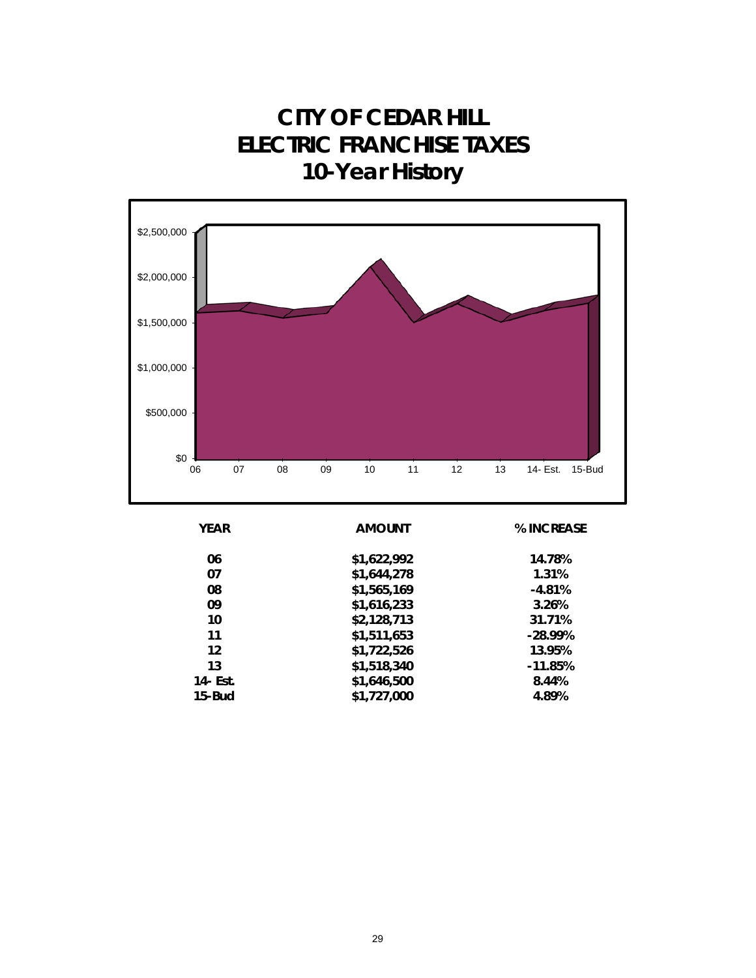**CITY OF CEDAR HILL ELECTRIC FRANCHISE TAXES 10-Year History**



| <b>YEAR</b> | <b>AMOUNT</b> | % INCREASE |
|-------------|---------------|------------|
| 06          | \$1,622,992   | 14.78%     |
| 07          | \$1,644,278   | 1.31%      |
| 08          | \$1,565,169   | $-4.81%$   |
| 09          | \$1,616,233   | 3.26%      |
| 10          | \$2,128,713   | 31.71%     |
| 11          | \$1,511,653   | $-28.99%$  |
| 12          | \$1,722,526   | 13.95%     |
| 13          | \$1,518,340   | $-11.85%$  |
| 14 - Est.   | \$1,646,500   | 8.44%      |
| $15$ -Bud   | \$1,727,000   | 4.89%      |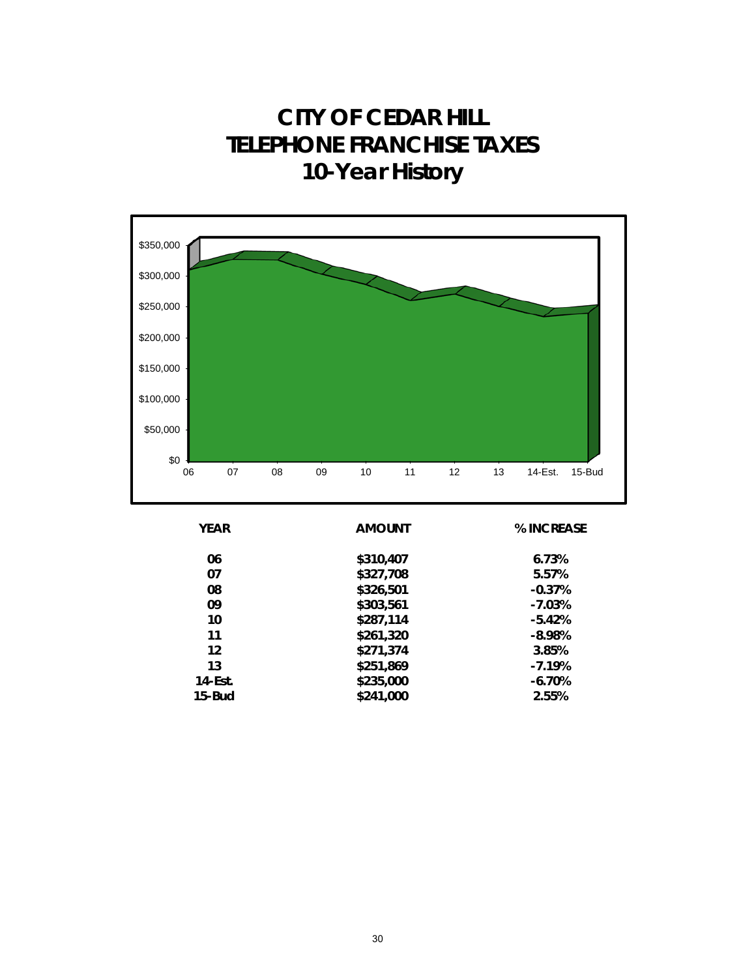### **CITY OF CEDAR HILL TELEPHONE FRANCHISE TAXES 10-Year History**



| <b>YEAR</b> | <b>AMOUNT</b> | % INCREASE |
|-------------|---------------|------------|
| 06          | \$310,407     | 6.73%      |
| 07          | \$327,708     | 5.57%      |
| 08          | \$326,501     | $-0.37%$   |
| 09          | \$303,561     | $-7.03%$   |
| 10          | \$287,114     | $-5.42%$   |
| 11          | \$261,320     | $-8.98%$   |
| 12          | \$271,374     | 3.85%      |
| 13          | \$251,869     | $-7.19%$   |
| 14-Est.     | \$235,000     | $-6.70%$   |
| $15$ -Bud   | \$241,000     | 2.55%      |
|             |               |            |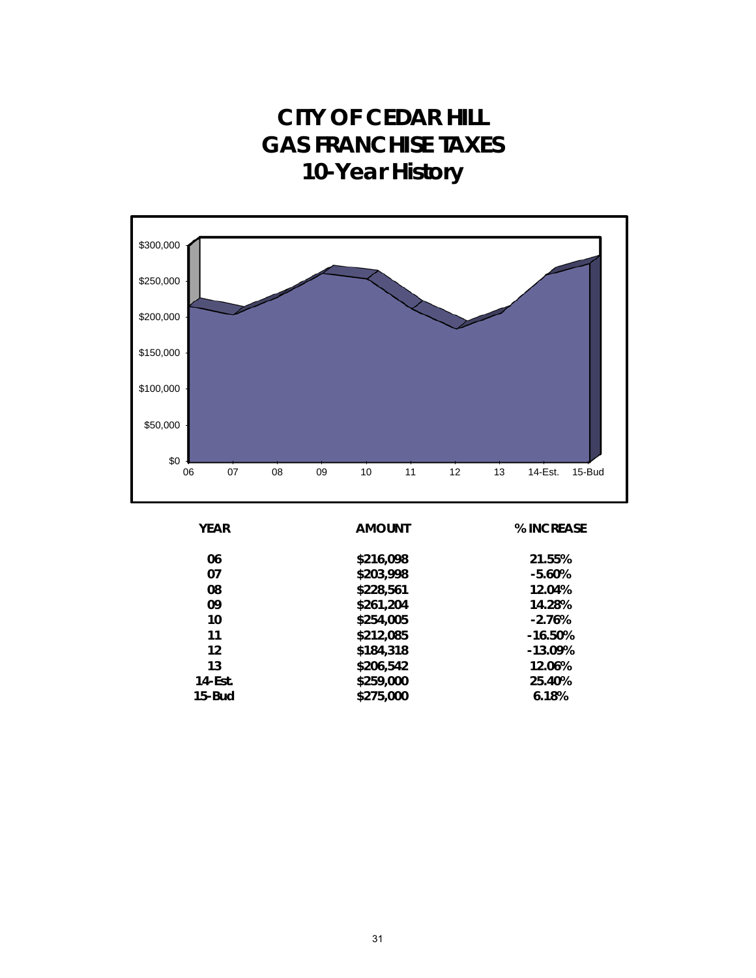### **CITY OF CEDAR HILL GAS FRANCHISE TAXES 10-Year History**



| <b>YEAR</b> | <b>AMOUNT</b> | % INCREASE |
|-------------|---------------|------------|
| 06          | \$216,098     | 21.55%     |
| 07          | \$203,998     | $-5.60%$   |
| 08          | \$228,561     | 12.04%     |
| 09          | \$261,204     | 14.28%     |
| 10          | \$254,005     | $-2.76%$   |
| 11          | \$212,085     | $-16.50%$  |
| 12          | \$184,318     | $-13.09%$  |
| 13          | \$206,542     | 12.06%     |
| $14$ -Est.  | \$259,000     | 25.40%     |
| 15-Bud      | \$275,000     | 6.18%      |
|             |               |            |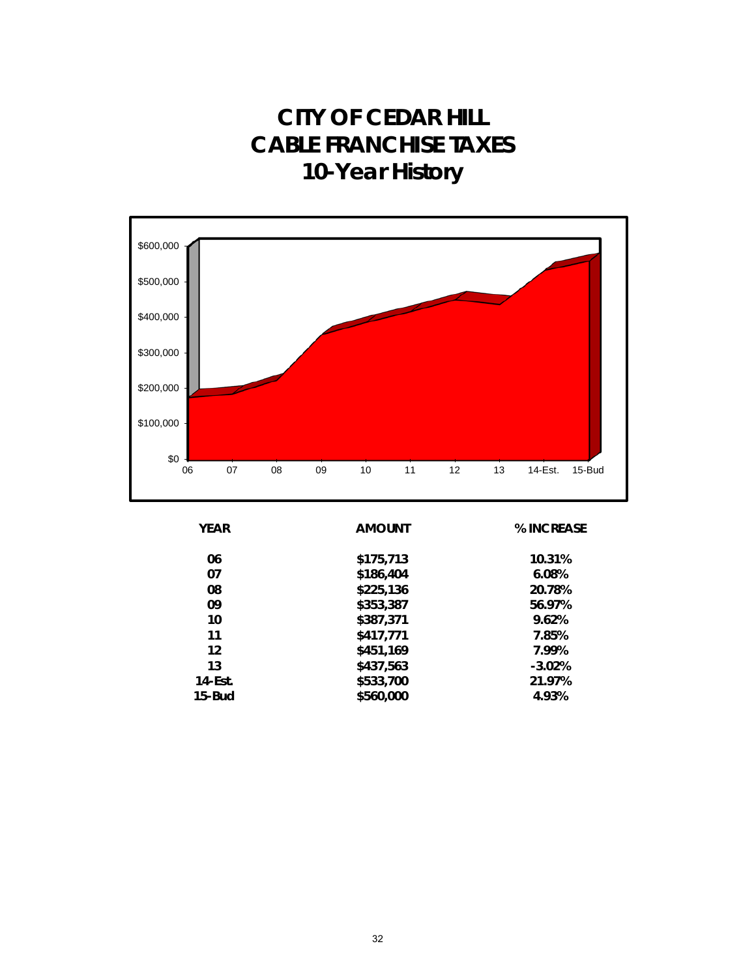### **CITY OF CEDAR HILL CABLE FRANCHISE TAXES 10-Year History**



| <b>YEAR</b> | <b>AMOUNT</b> | % INCREASE |
|-------------|---------------|------------|
| 06          | \$175,713     | 10.31%     |
| 07          | \$186,404     | 6.08%      |
| 08          | \$225,136     | 20.78%     |
| 09          | \$353,387     | 56.97%     |
| 10          | \$387,371     | 9.62%      |
| 11          | \$417,771     | 7.85%      |
| 12          | \$451,169     | 7.99%      |
| 13          | \$437,563     | $-3.02%$   |
| 14-Est.     | \$533,700     | 21.97%     |
| $15$ -Bud   | \$560,000     | 4.93%      |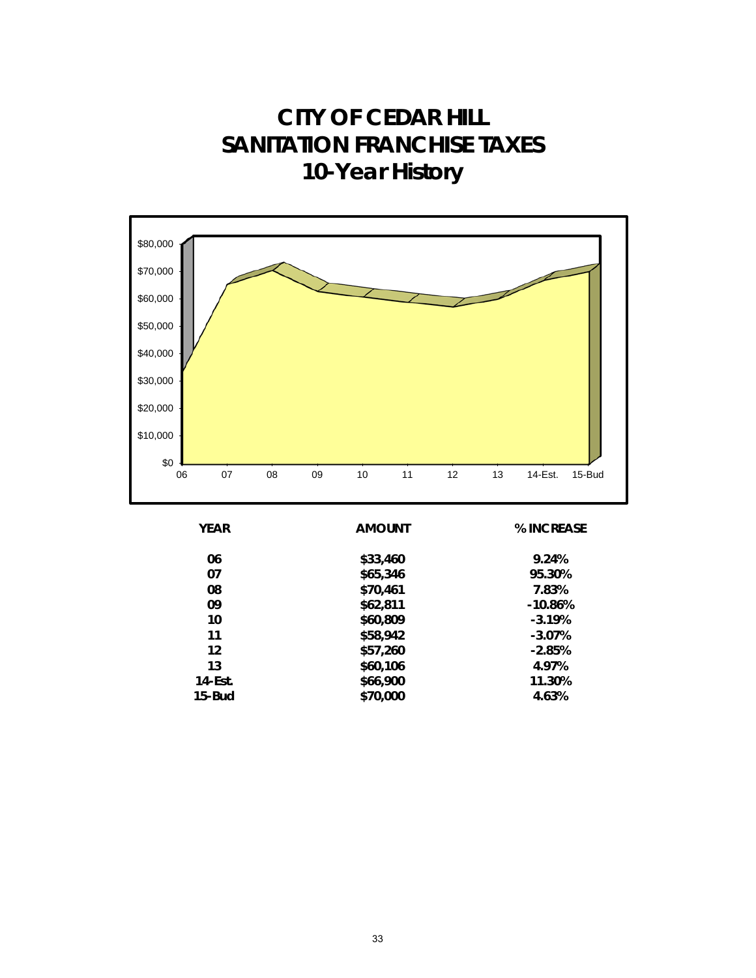**CITY OF CEDAR HILL SANITATION FRANCHISE TAXES 10-Year History**

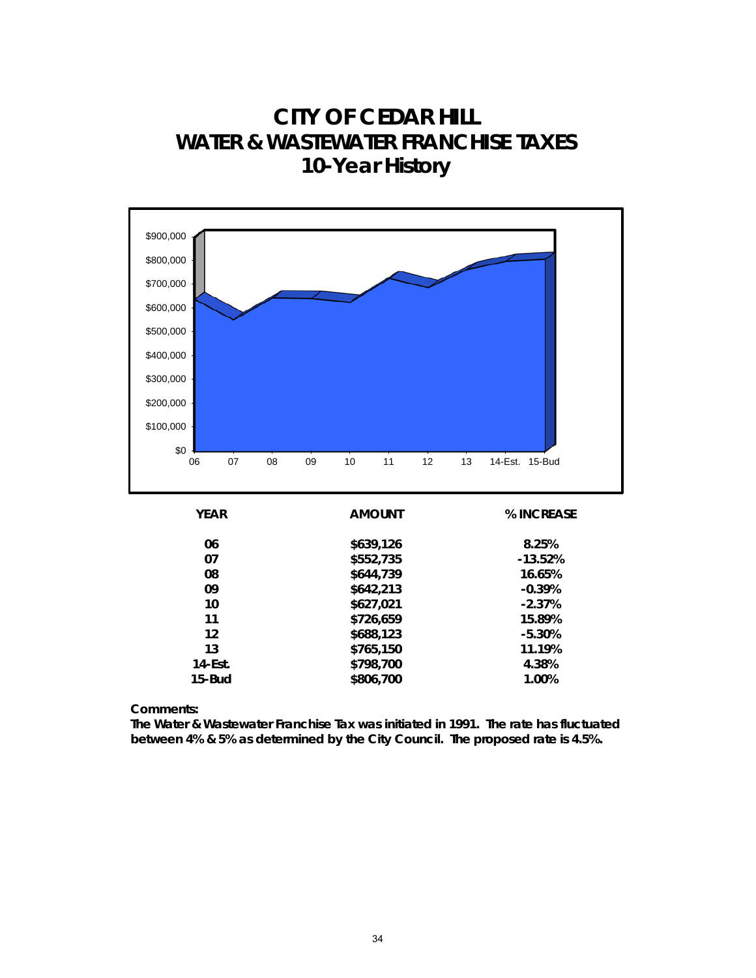#### **CITY OF CEDAR HILL WATER & WASTEWATER FRANCHISE TAXES 10-Year History**



| 06        | \$639,126 | 8.25%     |
|-----------|-----------|-----------|
| 07        | \$552,735 | $-13.52%$ |
| 08        | \$644,739 | 16.65%    |
| 09        | \$642,213 | $-0.39%$  |
| 10        | \$627,021 | $-2.37%$  |
| 11        | \$726,659 | 15.89%    |
| 12        | \$688,123 | $-5.30%$  |
| 13        | \$765,150 | 11.19%    |
| 14-Est.   | \$798,700 | 4.38%     |
| $15$ -Bud | \$806,700 | 1.00%     |
|           |           |           |

**Comments:**

**The Water & Wastewater Franchise Tax was initiated in 1991. The rate has fluctuated between 4% & 5% as determined by the City Council. The proposed rate is 4.5%.**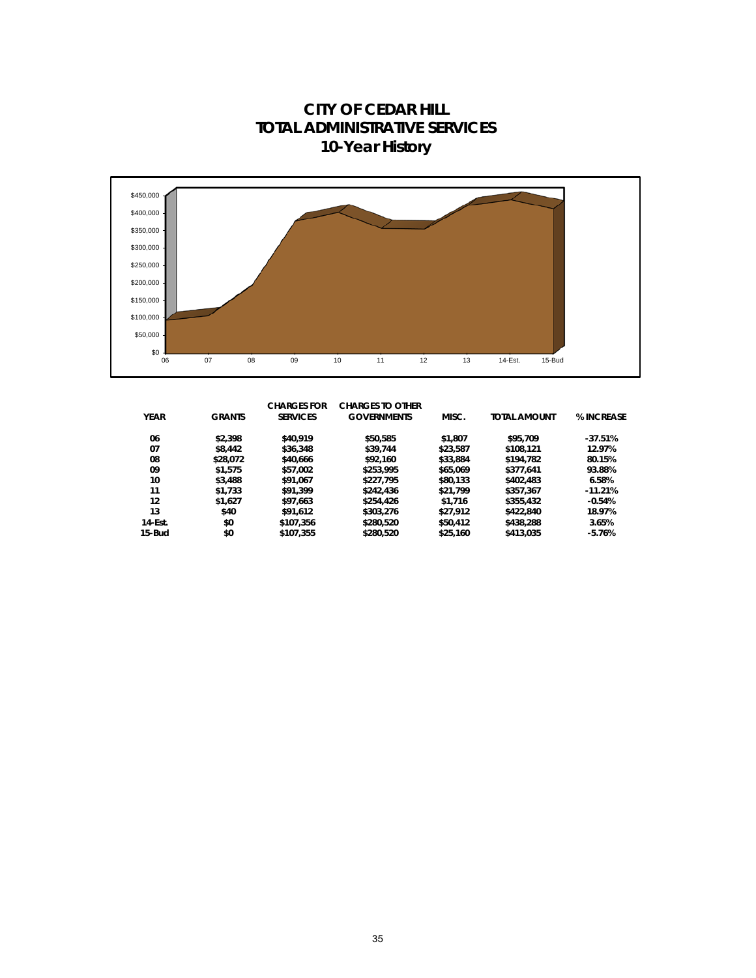**10-Year History**  $$0 \frac{1}{06}$ \$50,000 \$100,000 \$150,000 \$200,000 \$250,000 \$300,000 \$350,000 \$400,000 \$450,000 06 07 08 09 10 11 12 13 14-Est. 15-Bud

|             |               | <b>CHARGES FOR</b> | <b>CHARGES TO OTHER</b> |          |                     |            |
|-------------|---------------|--------------------|-------------------------|----------|---------------------|------------|
| <b>YEAR</b> | <b>GRANTS</b> | <b>SERVICES</b>    | <b>GOVERNMENTS</b>      | MISC.    | <b>TOTAL AMOUNT</b> | % INCREASE |
| 06          | \$2,398       | \$40,919           | \$50,585                | \$1,807  | \$95,709            | $-37.51%$  |
| 07          | \$8,442       | \$36,348           | \$39,744                | \$23,587 | \$108,121           | 12.97%     |
| 08          | \$28,072      | \$40,666           | \$92,160                | \$33,884 | \$194,782           | 80.15%     |
| 09          | \$1,575       | \$57,002           | \$253,995               | \$65,069 | \$377.641           | 93.88%     |
| 10          | \$3,488       | \$91.067           | \$227.795               | \$80.133 | \$402,483           | 6.58%      |
| 11          | \$1,733       | \$91,399           | \$242,436               | \$21,799 | \$357,367           | $-11.21%$  |
| 12          | \$1,627       | \$97,663           | \$254,426               | \$1,716  | \$355,432           | $-0.54%$   |
| 13          | \$40          | \$91,612           | \$303,276               | \$27.912 | \$422,840           | 18.97%     |
| $14$ -Est.  | \$0           | \$107.356          | \$280,520               | \$50,412 | \$438,288           | 3.65%      |
| 15-Bud      | \$0           | \$107.355          | \$280.520               | \$25,160 | \$413,035           | $-5.76%$   |

## **CITY OF CEDAR HILL TOTAL ADMINISTRATIVE SERVICES**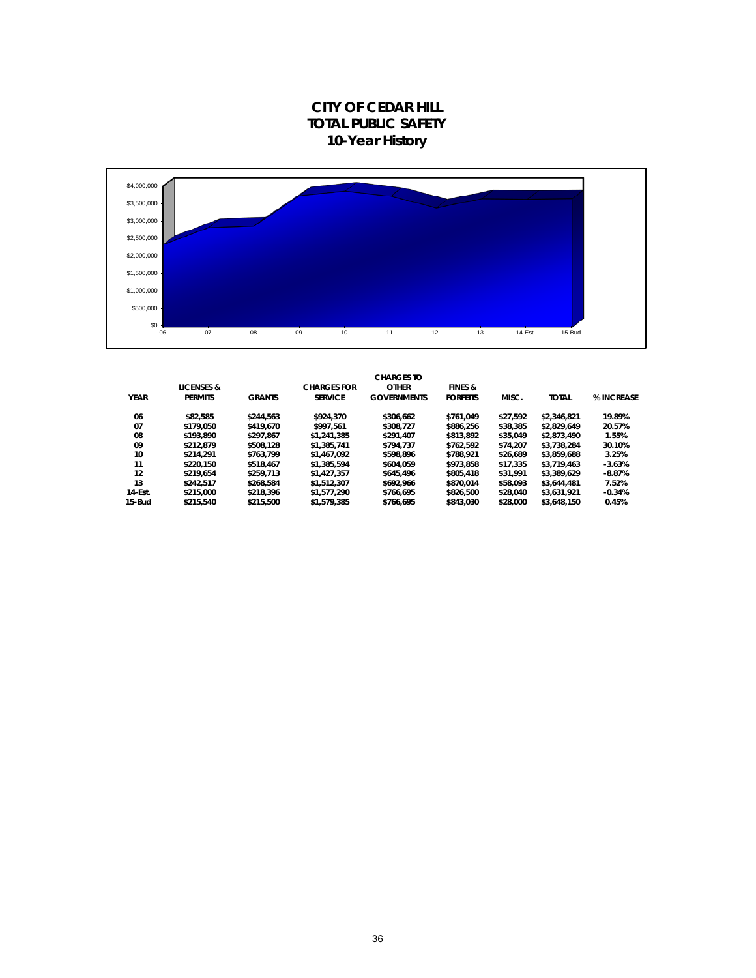



|             |                       |               |                    | <b>CHARGES TO</b>  |                    |          |              |            |
|-------------|-----------------------|---------------|--------------------|--------------------|--------------------|----------|--------------|------------|
|             | <b>LICENSES &amp;</b> |               | <b>CHARGES FOR</b> | <b>OTHER</b>       | <b>FINES &amp;</b> |          |              |            |
| <b>YEAR</b> | <b>PERMITS</b>        | <b>GRANTS</b> | <b>SERVICE</b>     | <b>GOVERNMENTS</b> | <b>FORFEITS</b>    | MISC.    | <b>TOTAL</b> | % INCREASE |
| 06          | \$82.585              | \$244.563     | \$924.370          | \$306.662          | \$761.049          | \$27.592 | \$2,346.821  | 19.89%     |
| 07          | \$179.050             | \$419,670     | \$997.561          | \$308.727          | \$886.256          | \$38,385 | \$2.829.649  | 20.57%     |
| 08          | \$193.890             | \$297.867     | \$1,241,385        | \$291.407          | \$813.892          | \$35.049 | \$2.873.490  | 1.55%      |
| 09          | \$212.879             | \$508.128     | \$1,385,741        | \$794.737          | \$762.592          | \$74.207 | \$3.738.284  | 30.10%     |
| 10          | \$214.291             | \$763.799     | \$1,467,092        | \$598.896          | \$788.921          | \$26.689 | \$3.859.688  | 3.25%      |
| 11          | \$220.150             | \$518.467     | \$1,385,594        | \$604.059          | \$973.858          | \$17,335 | \$3.719.463  | $-3.63%$   |
| 12          | \$219.654             | \$259.713     | \$1,427,357        | \$645,496          | \$805,418          | \$31.991 | \$3.389.629  | $-8.87%$   |
| 13          | \$242.517             | \$268.584     | \$1,512,307        | \$692.966          | \$870.014          | \$58.093 | \$3,644,481  | 7.52%      |
| 14-Est.     | \$215,000             | \$218.396     | \$1,577,290        | \$766.695          | \$826,500          | \$28,040 | \$3,631,921  | $-0.34%$   |
| 15-Bud      | \$215,540             | \$215,500     | \$1,579,385        | \$766.695          | \$843.030          | \$28,000 | \$3,648.150  | 0.45%      |
|             |                       |               |                    |                    |                    |          |              |            |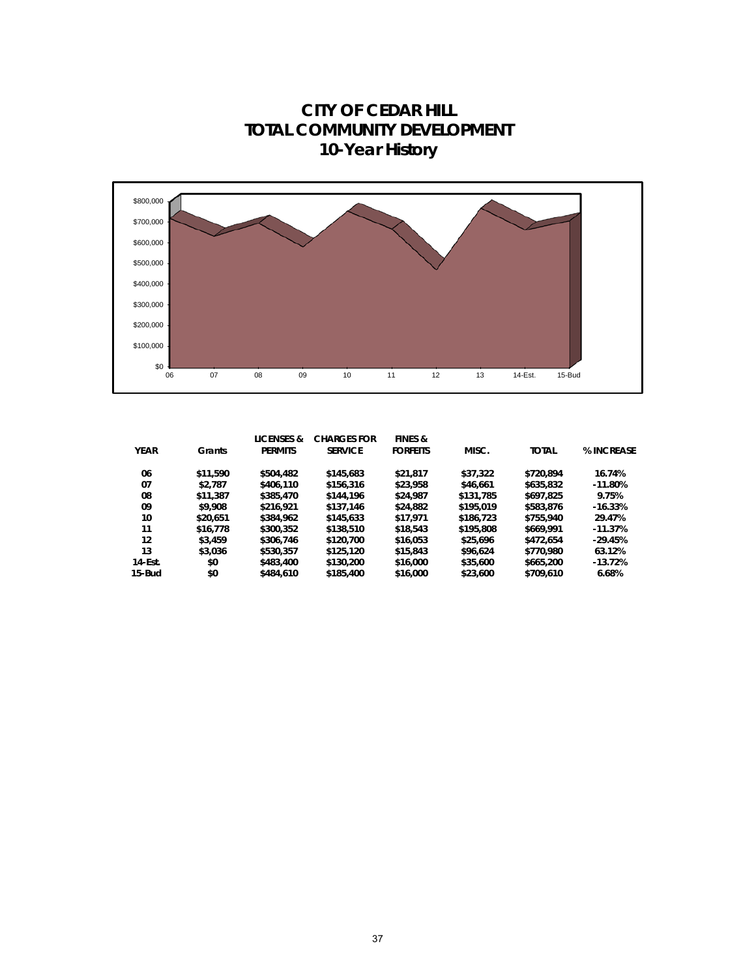**10-Year History**  $$^{0}$   $\frac{1}{06}$ \$100,000 \$200,000 \$300,000 \$400,000 \$500,000 \$600,000 \$700,000 \$800,000 06 07 08 09 10 11 12 13 14-Est. 15-Bud

| <b>YEAR</b> | Grants   | <b>LICENSES &amp;</b><br><b>PERMITS</b> | <b>CHARGES FOR</b><br><b>SERVICE</b> | <b>FINES &amp;</b><br><b>FORFEITS</b> | MISC.     | <b>TOTAL</b> | % INCREASE |
|-------------|----------|-----------------------------------------|--------------------------------------|---------------------------------------|-----------|--------------|------------|
| 06          | \$11,590 | \$504,482                               | \$145,683                            | \$21.817                              | \$37,322  | \$720.894    | 16.74%     |
| 07          | \$2.787  | \$406,110                               | \$156,316                            | \$23,958                              | \$46,661  | \$635,832    | $-11.80%$  |
| 08          | \$11,387 | \$385,470                               | \$144,196                            | \$24,987                              | \$131,785 | \$697.825    | 9.75%      |
| 09          | \$9,908  | \$216,921                               | \$137.146                            | \$24,882                              | \$195,019 | \$583,876    | $-16.33%$  |
| 10          | \$20.651 | \$384,962                               | \$145,633                            | \$17,971                              | \$186,723 | \$755,940    | 29.47%     |
| 11          | \$16,778 | \$300,352                               | \$138,510                            | \$18,543                              | \$195,808 | \$669,991    | $-11.37%$  |
| 12          | \$3,459  | \$306,746                               | \$120,700                            | \$16,053                              | \$25,696  | \$472.654    | $-29.45%$  |
| 13          | \$3,036  | \$530.357                               | \$125,120                            | \$15,843                              | \$96.624  | \$770,980    | 63.12%     |
| 14-Est.     | \$0      | \$483,400                               | \$130,200                            | \$16,000                              | \$35,600  | \$665,200    | $-13.72%$  |
| 15-Bud      | \$0      | \$484,610                               | \$185,400                            | \$16,000                              | \$23,600  | \$709,610    | 6.68%      |

# **CITY OF CEDAR HILL TOTAL COMMUNITY DEVELOPMENT**